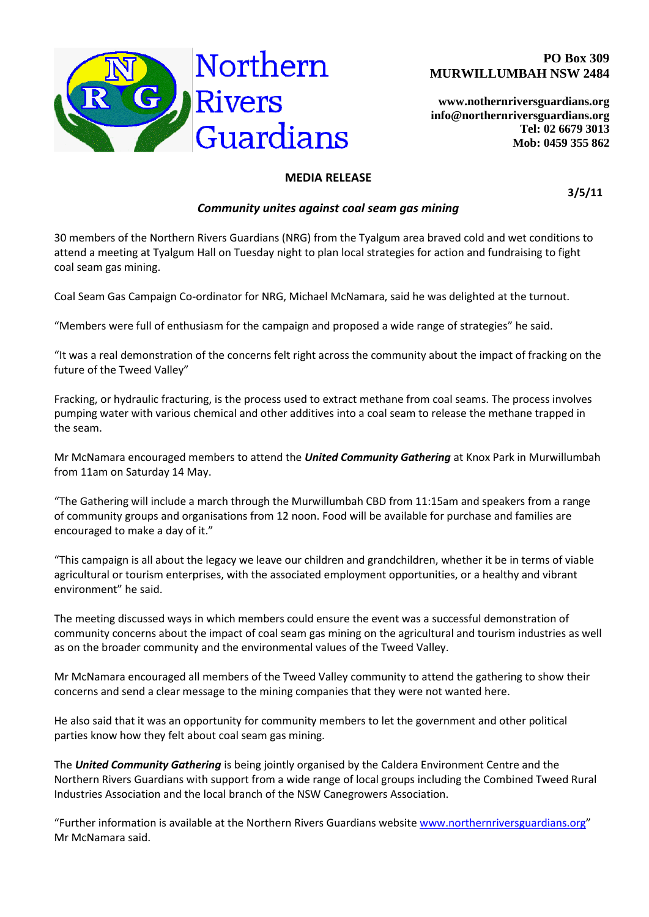

**[www.nothernriversguardians.org](http://www.nothernriversguardians.org/) info@northernriversguardians.org Tel: 02 6679 3013 Mob: 0459 355 862**

## **MEDIA RELEASE**

**3/5/11**

## *Community unites against coal seam gas mining*

30 members of the Northern Rivers Guardians (NRG) from the Tyalgum area braved cold and wet conditions to attend a meeting at Tyalgum Hall on Tuesday night to plan local strategies for action and fundraising to fight coal seam gas mining.

Coal Seam Gas Campaign Co-ordinator for NRG, Michael McNamara, said he was delighted at the turnout.

"Members were full of enthusiasm for the campaign and proposed a wide range of strategies" he said.

"It was a real demonstration of the concerns felt right across the community about the impact of fracking on the future of the Tweed Valley"

Fracking, or hydraulic fracturing, is the process used to extract methane from coal seams. The process involves pumping water with various chemical and other additives into a coal seam to release the methane trapped in the seam.

Mr McNamara encouraged members to attend the *United Community Gathering* at Knox Park in Murwillumbah from 11am on Saturday 14 May.

"The Gathering will include a march through the Murwillumbah CBD from 11:15am and speakers from a range of community groups and organisations from 12 noon. Food will be available for purchase and families are encouraged to make a day of it."

"This campaign is all about the legacy we leave our children and grandchildren, whether it be in terms of viable agricultural or tourism enterprises, with the associated employment opportunities, or a healthy and vibrant environment" he said.

The meeting discussed ways in which members could ensure the event was a successful demonstration of community concerns about the impact of coal seam gas mining on the agricultural and tourism industries as well as on the broader community and the environmental values of the Tweed Valley.

Mr McNamara encouraged all members of the Tweed Valley community to attend the gathering to show their concerns and send a clear message to the mining companies that they were not wanted here.

He also said that it was an opportunity for community members to let the government and other political parties know how they felt about coal seam gas mining.

The *United Community Gathering* is being jointly organised by the Caldera Environment Centre and the Northern Rivers Guardians with support from a wide range of local groups including the Combined Tweed Rural Industries Association and the local branch of the NSW Canegrowers Association.

"Further information is available at the Northern Rivers Guardians website [www.northernriversguardians.org](http://www.northernriversguardians.org/)" Mr McNamara said.